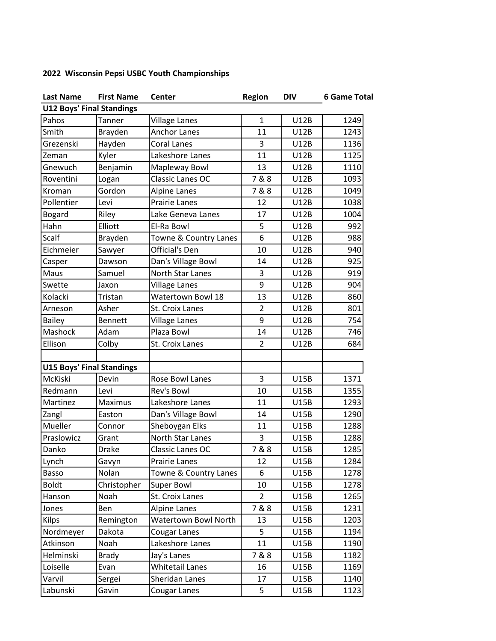## **2022 Wisconsin Pepsi USBC Youth Championships**

| <b>Last Name</b>                 | <b>First Name</b> | Center                 | <b>Region</b>  | <b>DIV</b>  | <b>6 Game Total</b> |  |  |  |  |
|----------------------------------|-------------------|------------------------|----------------|-------------|---------------------|--|--|--|--|
| <b>U12 Boys' Final Standings</b> |                   |                        |                |             |                     |  |  |  |  |
| Pahos                            | Tanner            | <b>Village Lanes</b>   | $\mathbf{1}$   | <b>U12B</b> | 1249                |  |  |  |  |
| Smith                            | Brayden           | <b>Anchor Lanes</b>    | 11             | U12B        | 1243                |  |  |  |  |
| Grezenski                        | Hayden            | <b>Coral Lanes</b>     | 3              | <b>U12B</b> | 1136                |  |  |  |  |
| Zeman                            | Kyler             | Lakeshore Lanes        | 11             | U12B        | 1125                |  |  |  |  |
| Gnewuch                          | Benjamin          | Mapleway Bowl          | 13             | <b>U12B</b> | 1110                |  |  |  |  |
| Roventini                        | Logan             | Classic Lanes OC       | 7&8            | <b>U12B</b> | 1093                |  |  |  |  |
| Kroman                           | Gordon            | Alpine Lanes           | 7&8            | <b>U12B</b> | 1049                |  |  |  |  |
| Pollentier                       | Levi              | Prairie Lanes          | 12             | <b>U12B</b> | 1038                |  |  |  |  |
| <b>Bogard</b>                    | Riley             | Lake Geneva Lanes      | 17             | <b>U12B</b> | 1004                |  |  |  |  |
| Hahn                             | Elliott           | El-Ra Bowl             | 5              | U12B        | 992                 |  |  |  |  |
| Scalf                            | Brayden           | Towne & Country Lanes  | 6              | U12B        | 988                 |  |  |  |  |
| Eichmeier                        | Sawyer            | Official's Den         | 10             | U12B        | 940                 |  |  |  |  |
| Casper                           | Dawson            | Dan's Village Bowl     | 14             | U12B        | 925                 |  |  |  |  |
| Maus                             | Samuel            | North Star Lanes       | 3              | <b>U12B</b> | 919                 |  |  |  |  |
| Swette                           | Jaxon             | <b>Village Lanes</b>   | 9              | <b>U12B</b> | 904                 |  |  |  |  |
| Kolacki                          | Tristan           | Watertown Bowl 18      | 13             | U12B        | 860                 |  |  |  |  |
| Arneson                          | Asher             | St. Croix Lanes        | $\overline{2}$ | U12B        | 801                 |  |  |  |  |
| <b>Bailey</b>                    | <b>Bennett</b>    | <b>Village Lanes</b>   | 9              | <b>U12B</b> | 754                 |  |  |  |  |
| Mashock                          | Adam              | Plaza Bowl             | 14             | U12B        | 746                 |  |  |  |  |
| Ellison                          | Colby             | St. Croix Lanes        | $\overline{2}$ | U12B        | 684                 |  |  |  |  |
|                                  |                   |                        |                |             |                     |  |  |  |  |
| <b>U15 Boys' Final Standings</b> |                   |                        |                |             |                     |  |  |  |  |
| McKiski                          | Devin             | Rose Bowl Lanes        | 3              | U15B        | 1371                |  |  |  |  |
| Redmann                          | Levi              | Rev's Bowl             | 10             | <b>U15B</b> | 1355                |  |  |  |  |
| Martinez                         | Maximus           | Lakeshore Lanes        | 11             | <b>U15B</b> | 1293                |  |  |  |  |
| Zangl                            | Easton            | Dan's Village Bowl     | 14             | <b>U15B</b> | 1290                |  |  |  |  |
| Mueller                          | Connor            | Sheboygan Elks         | 11             | U15B        | 1288                |  |  |  |  |
| Praslowicz                       | Grant             | North Star Lanes       | 3              | <b>U15B</b> | 1288                |  |  |  |  |
| Danko                            | <b>Drake</b>      | Classic Lanes OC       | 7&8            | <b>U15B</b> | 1285                |  |  |  |  |
| Lynch                            | Gavyn             | Prairie Lanes          | 12             | U15B        | 1284                |  |  |  |  |
| Basso                            | Nolan             | Towne & Country Lanes  | 6              | U15B        | 1278                |  |  |  |  |
| <b>Boldt</b>                     | Christopher       | <b>Super Bowl</b>      | 10             | U15B        | 1278                |  |  |  |  |
| Hanson                           | Noah              | St. Croix Lanes        | $\overline{2}$ | U15B        | 1265                |  |  |  |  |
| Jones                            | Ben               | <b>Alpine Lanes</b>    | 7&8            | U15B        | 1231                |  |  |  |  |
| <b>Kilps</b>                     | Remington         | Watertown Bowl North   | 13             | U15B        | 1203                |  |  |  |  |
| Nordmeyer                        | Dakota            | Cougar Lanes           | 5              | U15B        | 1194                |  |  |  |  |
| Atkinson                         | Noah              | Lakeshore Lanes        | 11             | U15B        | 1190                |  |  |  |  |
| Helminski                        | <b>Brady</b>      | Jay's Lanes            | 7&8            | <b>U15B</b> | 1182                |  |  |  |  |
| Loiselle                         | Evan              | <b>Whitetail Lanes</b> | 16             | U15B        | 1169                |  |  |  |  |
| Varvil                           | Sergei            | Sheridan Lanes         | 17             | U15B        | 1140                |  |  |  |  |
| Labunski                         | Gavin             | Cougar Lanes           | 5              | U15B        | 1123                |  |  |  |  |